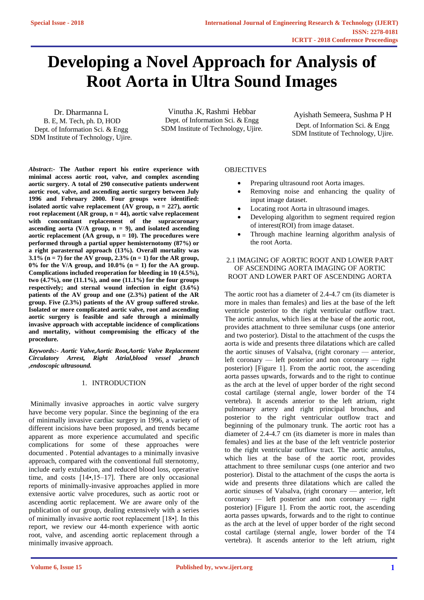# **Developing [a Novel Approach for Analysis of](https://www.ijert.org/cfp)  Root Aorta in Ultra Sound Images**

Dr. Dharmanna L B. E, M. Tech, ph. D, HOD Dept. of Information Sci. & Engg SDM Institute of Technology, Ujire.

Vinutha .K, Rashmi Hebbar Dept. of Information Sci. & Engg SDM Institute of Technology, Ujire.

Ayishath Semeera, Sushma P H Dept. of Information Sci. & Engg SDM Institute of Technology, Ujire.

*Abstract***:- The Author report his entire experience with minimal access aortic root, valve, and complex ascending aortic surgery. A total of 290 consecutive patients underwent aortic root, valve, and ascending aortic surgery between July 1996 and February 2000. Four groups were identified: isolated aortic valve replacement (AV group, n = 227), aortic root replacement (AR group, n = 44), aortic valve replacement with concomitant replacement of the supracoronary ascending aorta (V/A group, n = 9), and isolated ascending aortic replacement (AA group, n = 10). The procedures were performed through a partial upper hemisternotomy (87%) or a right parasternal approach (13%). Overall mortality was 3.1% (n = 7) for the AV group, 2.3% (n = 1) for the AR group,**   $0\%$  for the V/A group, and  $10.0\%$  (n = 1) for the AA group. **Complications included reoperation for bleeding in 10 (4.5%), two (4.7%), one (11.1%), and one (11.1%) for the four groups respectively; and sternal wound infection in eight (3.6%) patients of the AV group and one (2.3%) patient of the AR group. Five (2.3%) patients of the AV group suffered stroke. Isolated or more complicated aortic valve, root and ascending aortic surgery is feasible and safe through a minimally invasive approach with acceptable incidence of complications and mortality, without compromising the efficacy of the procedure.**

*Keywords:- Aortic Valve,Aortic Root,Aortic Valve Replacement Circulatory Arrest, Right Atrial,blood vessel ,branch ,endoscopic ultrasound.*

## 1. INTRODUCTION

Minimally invasive approaches in aortic valve surgery have become very popular. Since the beginning of the era of minimally invasive cardiac surgery in 1996, a variety of different incisions have been proposed, and trends became apparent as more experience accumulated and specific complications for some of these approaches were documented . Potential advantages to a minimally invasive approach, compared with the conventional full sternotomy, include early extubation, and reduced blood loss, operative time, and costs [14•,15–17]. There are only occasional reports of minimally-invasive approaches applied in more extensive aortic valve procedures, such as aortic root or ascending aortic replacement. We are aware only of the publication of our group, dealing extensively with a series of minimally invasive aortic root replacement [18•]. In this report, we review our 44-month experience with aortic root, valve, and ascending aortic replacement through a minimally invasive approach.

## **OBJECTIVES**

- Preparing ultrasound root Aorta images.
- Removing noise and enhancing the quality of input image dataset.
- Locating root Aorta in ultrasound images.
- Developing algorithm to segment required region of interest(ROI) from image dataset.
- Through machine learning algorithm analysis of the root Aorta.

## 2.1 IMAGING OF AORTIC ROOT AND LOWER PART OF ASCENDING AORTA IMAGING OF AORTIC ROOT AND LOWER PART OF ASCENDING AORTA

The aortic root has a diameter of 2.4-4.7 cm (its diameter is more in males than females) and lies at the base of the left ventricle posterior to the right ventricular outflow tract. The aortic annulus, which lies at the base of the aortic root, provides attachment to three semilunar cusps (one anterior and two posterior). Distal to the attachment of the cusps the aorta is wide and presents three dilatations which are called the aortic sinuses of Valsalva, (right coronary — anterior, left coronary — left posterior and non coronary — right posterior) [Figure 1]. From the aortic root, the ascending aorta passes upwards, forwards and to the right to continue as the arch at the level of upper border of the right second costal cartilage (sternal angle, lower border of the T4 vertebra). It ascends anterior to the left atrium, right pulmonary artery and right principal bronchus, and posterior to the right ventricular outflow tract and beginning of the pulmonary trunk. The aortic root has a diameter of 2.4-4.7 cm (its diameter is more in males than females) and lies at the base of the left ventricle posterior to the right ventricular outflow tract. The aortic annulus, which lies at the base of the aortic root, provides attachment to three semilunar cusps (one anterior and two posterior). Distal to the attachment of the cusps the aorta is wide and presents three dilatations which are called the aortic sinuses of Valsalva, (right coronary — anterior, left coronary — left posterior and non coronary — right posterior) [Figure 1]. From the aortic root, the ascending aorta passes upwards, forwards and to the right to continue as the arch at the level of upper border of the right second costal cartilage (sternal angle, lower border of the T4 vertebra). It ascends anterior to the left atrium, right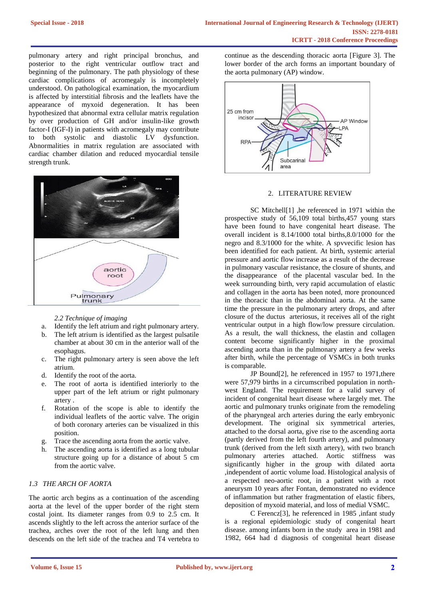pulmonary artery and right principal bronchus, and posterior to the right ventricular outflow tract and beginning of the pulmonary. The path physiology of these cardiac complications of acromegaly is incompletely understood. On pathological examination, the myocardium is affected by interstitial fibrosis and the leaflets have the appearance of myxoid degeneration. It has been hypothesized that abnormal extra cellular matrix regulation by over production of GH and/or insulin-like growth factor-I (IGF-I) in patients with acromegaly may contribute to both systolic and diastolic LV dysfunction. Abnormalities in matrix regulation are associated with cardiac chamber dilation and reduced myocardial tensile strength trunk.



*2.2 Technique of imaging*

- a. Identify the left atrium and right pulmonary artery.
- b. The left atrium is identified as the largest pulsatile chamber at about 30 cm in the anterior wall of the esophagus.
- c. The right pulmonary artery is seen above the left atrium.
- d. Identify the root of the aorta.
- e. The root of aorta is identified interiorly to the upper part of the left atrium or right pulmonary artery .
- f. Rotation of the scope is able to identify the individual leaflets of the aortic valve. The origin of both coronary arteries can be visualized in this position.
- g. Trace the ascending aorta from the aortic valve.
- h. The ascending aorta is identified as a long tubular structure going up for a distance of about 5 cm from the aortic valve.

## *1.3 THE ARCH OF AORTA*

The aortic arch begins as a continuation of the ascending aorta at the level of the upper border of the right stern costal joint. Its diameter ranges from 0.9 to 2.5 cm. It ascends slightly to the left across the anterior surface of the trachea, arches over the root of the left lung and then descends on the left side of the trachea and T4 vertebra to continue as the descending thoracic aorta [Figure 3]. The lower border of the arch forms an important boundary of the aorta pulmonary (AP) window.



#### 2. LITERATURE REVIEW

SC Mitchell[1] ,he referenced in 1971 within the prospective study of 56,109 total births,457 young stars have been found to have congenital heart disease. The overall incident is 8.14/1000 total births,8.0/1000 for the negro and 8.3/1000 for the white. A spvvecific lesion has been identified for each patient. At birth, systemic arterial pressure and aortic flow increase as a result of the decrease in pulmonary vascular resistance, the closure of shunts, and the disappearance of the placental vascular bed. In the week surrounding birth, very rapid accumulation of elastic and collagen in the aorta has been noted, more pronounced in the thoracic than in the abdominal aorta. At the same time the pressure in the pulmonary artery drops, and after closure of the ductus arteriosus, it receives all of the right ventricular output in a high flow/low pressure circulation. As a result, the wall thickness, the elastin and collagen content become significantly higher in the proximal ascending aorta than in the pulmonary artery a few weeks after birth, while the percentage of VSMCs in both trunks is comparable.

JP Bound[2], he referenced in 1957 to 1971,there were 57,979 births in a circumscribed population in northwest England. The requirement for a valid survey of incident of congenital heart disease where largely met. The aortic and pulmonary trunks originate from the remodeling of the pharyngeal arch arteries during the early embryonic development. The original six symmetrical arteries, attached to the dorsal aorta, give rise to the ascending aorta (partly derived from the left fourth artery), and pulmonary trunk (derived from the left sixth artery), with two branch pulmonary arteries attached. Aortic stiffness was significantly higher in the group with dilated aorta ,independent of aortic volume load. Histological analysis of a respected neo-aortic root, in a patient with a root aneurysm 10 years after Fontan, demonstrated no evidence of inflammation but rather fragmentation of elastic fibers, deposition of myxoid material, and loss of medial VSMC.

C Ferencz[3], he referenced in 1985 ,infant study is a regional epidemiologic study of congenital heart disease. among infants born in the study area in 1981 and 1982, 664 had d diagnosis of congenital heart disease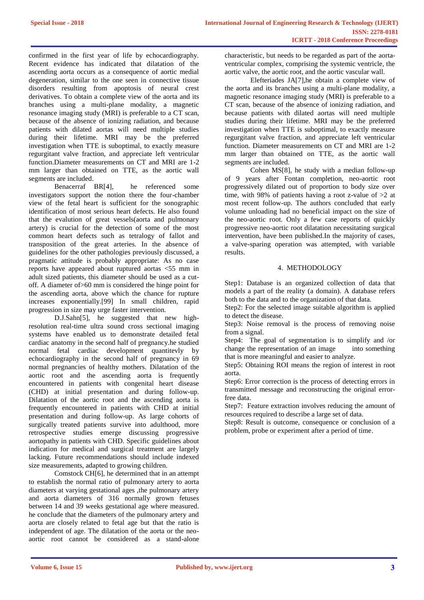confirmed in the first year of life by echocardiography. Recent evidence has indicated that dilatation of the ascending aorta occurs as a consequence of aortic medial degeneration, similar to the one seen in connective tissue disorders resulting from apoptosis of neural crest derivatives. To obtain a complete view of the aorta and its branches using a multi-plane modality, a magnetic resonance imaging study (MRI) is preferable to a CT scan, because of the absence of ionizing radiation, and because patients with dilated aortas will need multiple studies during their lifetime. MRI may be the preferred investigation when TTE is suboptimal, to exactly measure regurgitant valve fraction, and appreciate left ventricular function.Diameter measurements on CT and MRI are 1-2 mm larger than obtained on TTE, as the aortic wall segments are included.

Benacerraf BR[4], he referenced some investigators support the notion there the four-chamber view of the fetal heart is sufficient for the sonographic identification of most serious heart defects. He also found that the evalution of great vessels(aorta and pulmonary artery) is crucial for the detection of some of the most common heart defects such as tetralogy of fallot and transposition of the great arteries. In the absence of guidelines for the other pathologies previously discussed, a pragmatic attitude is probably appropriate: As no case reports have appeared about ruptured aortas  $\lt 55$  mm in adult sized patients, this diameter should be used as a cutoff. A diameter of>60 mm is considered the hinge point for the ascending aorta, above which the chance for rupture increases exponentially.[99] In small children, rapid progression in size may urge faster intervention.

D.J.Sahn[5], he suggested that new highresolution real-time ultra sound cross sectional imaging systems have enabled us to demonstrate detailed fetal cardiac anatomy in the second half of pregnancy.he studied normal fetal cardiac development quantitevly by echocardiography in the second half of pregnancy in 69 normal pregnancies of healthy mothers. Dilatation of the aortic root and the ascending aorta is frequently encountered in patients with congenital heart disease (CHD) at initial presentation and during follow-up. Dilatation of the aortic root and the ascending aorta is frequently encountered in patients with CHD at initial presentation and during follow-up. As large cohorts of surgically treated patients survive into adulthood, more retrospective studies emerge discussing progressive aortopathy in patients with CHD. Specific guidelines about indication for medical and surgical treatment are largely lacking. Future recommendations should include indexed size measurements, adapted to growing children.

Comstock CH[6], he determined that in an attempt to establish the normal ratio of pulmonary artery to aorta diameters at varying gestational ages ,the pulmonary artery and aorta diameters of 316 normally grown fetuses between 14 and 39 weeks gestational age where measured. he conclude that the diameters of the pulmonary artery and aorta are closely related to fetal age but that the ratio is independent of age. The dilatation of the aorta or the neoaortic root cannot be considered as a stand-alone

characteristic, but needs to be regarded as part of the aortaventricular complex, comprising the systemic ventricle, the aortic valve, the aortic root, and the aortic vascular wall.

Elefteriades JA[7],he obtain a complete view of the aorta and its branches using a multi-plane modality, a magnetic resonance imaging study (MRI) is preferable to a CT scan, because of the absence of ionizing radiation, and because patients with dilated aortas will need multiple studies during their lifetime. MRI may be the preferred investigation when TTE is suboptimal, to exactly measure regurgitant valve fraction, and appreciate left ventricular function. Diameter measurements on CT and MRI are 1-2 mm larger than obtained on TTE, as the aortic wall segments are included.

Cohen MS[8], he study with a median follow-up of 9 years after Fontan completion, neo-aortic root progressively dilated out of proportion to body size over time, with 98% of patients having a root z-value of >2 at most recent follow-up. The authors concluded that early volume unloading had no beneficial impact on the size of the neo-aortic root. Only a few case reports of quickly progressive neo-aortic root dilatation necessitating surgical intervention, have been published.In the majority of cases, a valve-sparing operation was attempted, with variable results.

## 4. METHODOLOGY

Step1: Database is an organized collection of data that models a part of the reality (a domain). A database refers both to the data and to the organization of that data.

Step2: For the selected image suitable algorithm is applied to detect the disease.

Step3: Noise removal is the process of removing noise from a signal.

Step4: The goal of segmentation is to simplify and /or change the representation of an image into something that is more meaningful and easier to analyze.

Step5: Obtaining ROI means the region of interest in root aorta.

Step6: Error correction is the process of detecting errors in transmitted message and reconstructing the original errorfree data.

Step7: Feature extraction involves reducing the amount of resources required to describe a large set of data.

Step8: Result is outcome, consequence or conclusion of a problem, probe or experiment after a period of time.